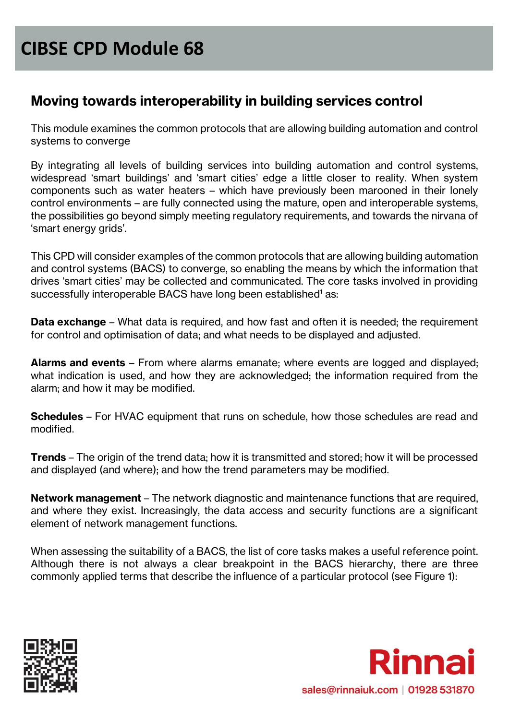#### **Moving towards interoperability in building services control**

This module examines the common protocols that are allowing building automation and control systems to converge

By integrating all levels of building services into building automation and control systems, widespread 'smart buildings' and 'smart cities' edge a little closer to reality. When system components such as water heaters – which have previously been marooned in their lonely control environments – are fully connected using the mature, open and interoperable systems, the possibilities go beyond simply meeting regulatory requirements, and towards the nirvana of 'smart energy grids'.

This CPD will consider examples of the common protocols that are allowing building automation and control systems (BACS) to converge, so enabling the means by which the information that drives 'smart cities' may be collected and communicated. The core tasks involved in providing successfully interoperable BACS have long been established <sup>1</sup> as:

**Data exchange** – What data is required, and how fast and often it is needed; the requirement for control and optimisation of data; and what needs to be displayed and adjusted.

**Alarms and events** – From where alarms emanate; where events are logged and displayed; what indication is used, and how they are acknowledged; the information required from the alarm; and how it may be modified.

**Schedules** – For HVAC equipment that runs on schedule, how those schedules are read and modified.

**Trends** – The origin of the trend data; how it is transmitted and stored; how it will be processed and displayed (and where); and how the trend parameters may be modified.

**Network management** – The network diagnostic and maintenance functions that are required, and where they exist. Increasingly, the data access and security functions are a significant element of network management functions.

When assessing the suitability of a BACS, the list of core tasks makes a useful reference point. Although there is not always a clear breakpoint in the BACS hierarchy, there are three commonly applied terms that describe the influence of a particular protocol (see Figure 1):



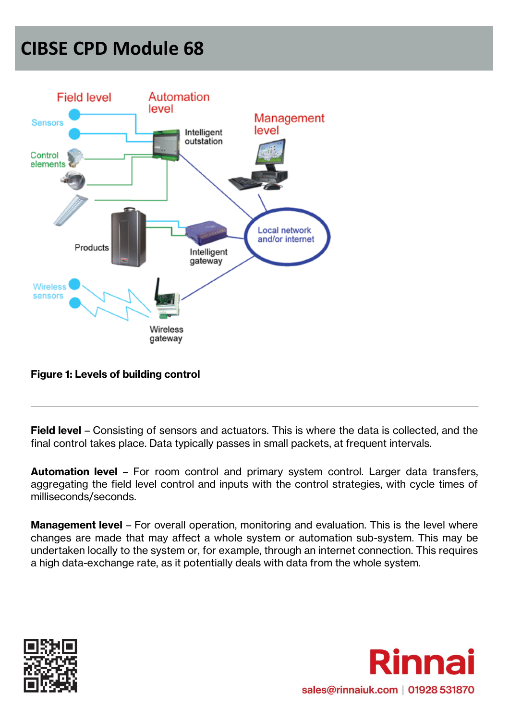

#### **Figure 1: Levels of building control**

**Field level** – Consisting of sensors and actuators. This is where the data is collected, and the final control takes place. Data typically passes in small packets, at frequent intervals.

**Automation level** – For room control and primary system control. Larger data transfers, aggregating the field level control and inputs with the control strategies, with cycle times of milliseconds/seconds.

**Management level** – For overall operation, monitoring and evaluation. This is the level where changes are made that may affect a whole system or automation sub-system. This may be undertaken locally to the system or, for example, through an internet connection. This requires a high data-exchange rate, as it potentially deals with data from the whole system.



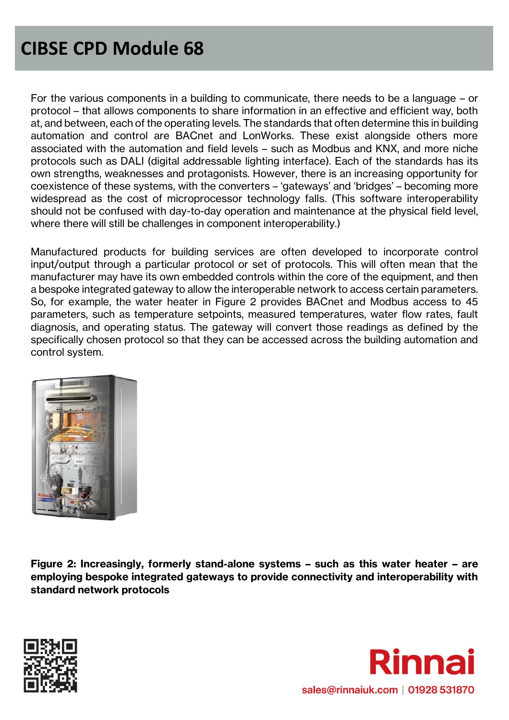For the various components in a building to communicate, there needs to be a language – or protocol – that allows components to share information in an effective and efficient way, both at, and between, each of the operating levels. The standards that often determine this in building automation and control are BACnet and LonWorks. These exist alongside others more associated with the automation and field levels – such as Modbus and KNX, and more niche protocols such as DALI (digital addressable lighting interface). Each of the standards has its own strengths, weaknesses and protagonists. However, there is an increasing opportunity for coexistence of these systems, with the converters – 'gateways' and 'bridges' – becoming more widespread as the cost of microprocessor technology falls. (This software interoperability should not be confused with day-to-day operation and maintenance at the physical field level, where there will still be challenges in component interoperability.)

Manufactured products for building services are often developed to incorporate control input/output through a particular protocol or set of protocols. This will often mean that the manufacturer may have its own embedded controls within the core of the equipment, and then a bespoke integrated gateway to allow the interoperable network to access certain parameters. So, for example, the water heater in Figure 2 provides BACnet and Modbus access to 45 parameters, such as temperature setpoints, measured temperatures, water flow rates, fault diagnosis, and operating status. The gateway will convert those readings as defined by the specifically chosen protocol so that they can be accessed across the building automation and control system.



**Figure 2: Increasingly, formerly stand-alone systems – such as this water heater – are employing bespoke integrated gateways to provide connectivity and interoperability with standard network protocols**



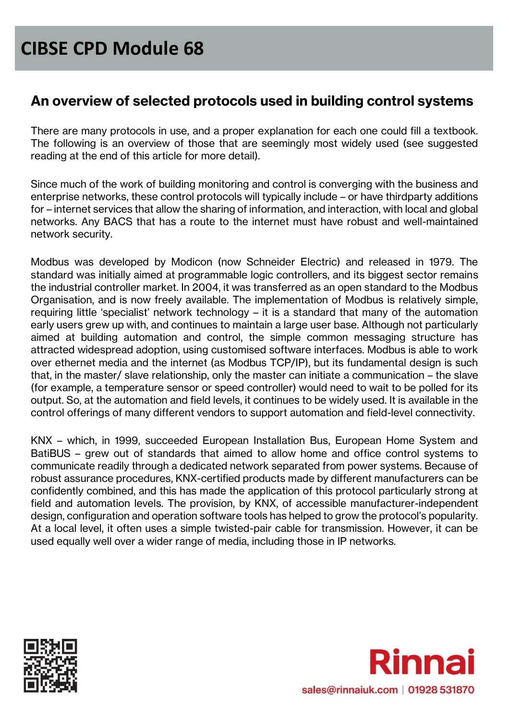#### **An overview of selected protocols used in building control systems**

There are many protocols in use, and a proper explanation for each one could fill a textbook. The following is an overview of those that are seemingly most widely used (see suggested reading at the end of this article for more detail).

Since much of the work of building monitoring and control is converging with the business and enterprise networks, these control protocols will typically include – or have thirdparty additions for – internet services that allow the sharing of information, and interaction, with local and global networks. Any BACS that has a route to the internet must have robust and well-maintained network security.

Modbus was developed by Modicon (now Schneider Electric) and released in 1979. The standard was initially aimed at programmable logic controllers, and its biggest sector remains the industrial controller market. In 2004, it was transferred as an open standard to the Modbus Organisation, and is now freely available. The implementation of Modbus is relatively simple, requiring little 'specialist' network technology – it is a standard that many of the automation early users grew up with, and continues to maintain a large user base. Although not particularly aimed at building automation and control, the simple common messaging structure has attracted widespread adoption, using customised software interfaces. Modbus is able to work over ethernet media and the internet (as Modbus TCP/IP), but its fundamental design is such that, in the master/ slave relationship, only the master can initiate a communication – the slave (for example, a temperature sensor or speed controller) would need to wait to be polled for its output. So, at the automation and field levels, it continues to be widely used. It is available in the control offerings of many different vendors to support automation and field-level connectivity.

KNX – which, in 1999, succeeded European Installation Bus, European Home System and BatiBUS – grew out of standards that aimed to allow home and office control systems to communicate readily through a dedicated network separated from power systems. Because of robust assurance procedures, KNX-certified products made by different manufacturers can be confidently combined, and this has made the application of this protocol particularly strong at field and automation levels. The provision, by KNX, of accessible manufacturer-independent design, configuration and operation software tools has helped to grow the protocol's popularity. At a local level, it often uses a simple twisted-pair cable for transmission. However, it can be used equally well over a wider range of media, including those in IP networks.



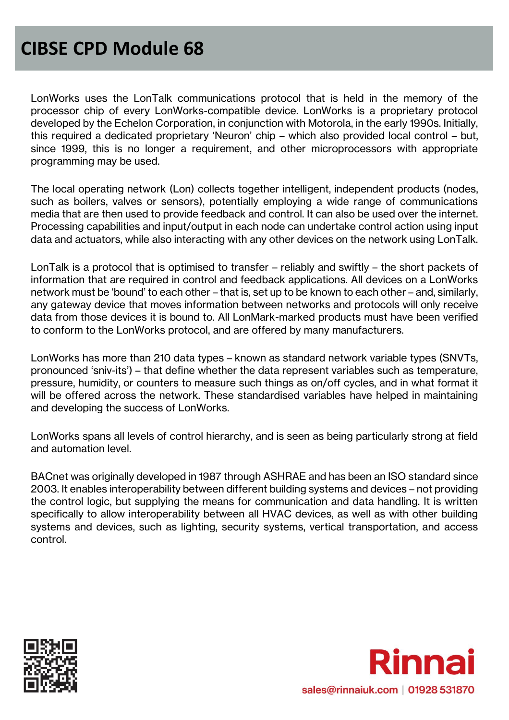LonWorks uses the LonTalk communications protocol that is held in the memory of the processor chip of every LonWorks-compatible device. LonWorks is a proprietary protocol developed by the Echelon Corporation, in conjunction with Motorola, in the early 1990s. Initially, this required a dedicated proprietary 'Neuron' chip – which also provided local control – but, since 1999, this is no longer a requirement, and other microprocessors with appropriate programming may be used.

The local operating network (Lon) collects together intelligent, independent products (nodes, such as boilers, valves or sensors), potentially employing a wide range of communications media that are then used to provide feedback and control. It can also be used over the internet. Processing capabilities and input/output in each node can undertake control action using input data and actuators, while also interacting with any other devices on the network using LonTalk.

LonTalk is a protocol that is optimised to transfer – reliably and swiftly – the short packets of information that are required in control and feedback applications. All devices on a LonWorks network must be 'bound' to each other – that is, set up to be known to each other – and, similarly, any gateway device that moves information between networks and protocols will only receive data from those devices it is bound to. All LonMark-marked products must have been verified to conform to the LonWorks protocol, and are offered by many manufacturers.

LonWorks has more than 210 data types – known as standard network variable types (SNVTs, pronounced 'sniv-its') – that define whether the data represent variables such as temperature, pressure, humidity, or counters to measure such things as on/off cycles, and in what format it will be offered across the network. These standardised variables have helped in maintaining and developing the success of LonWorks.

LonWorks spans all levels of control hierarchy, and is seen as being particularly strong at field and automation level.

BACnet was originally developed in 1987 through ASHRAE and has been an ISO standard since 2003. It enables interoperability between different building systems and devices – not providing the control logic, but supplying the means for communication and data handling. It is written specifically to allow interoperability between all HVAC devices, as well as with other building systems and devices, such as lighting, security systems, vertical transportation, and access control.



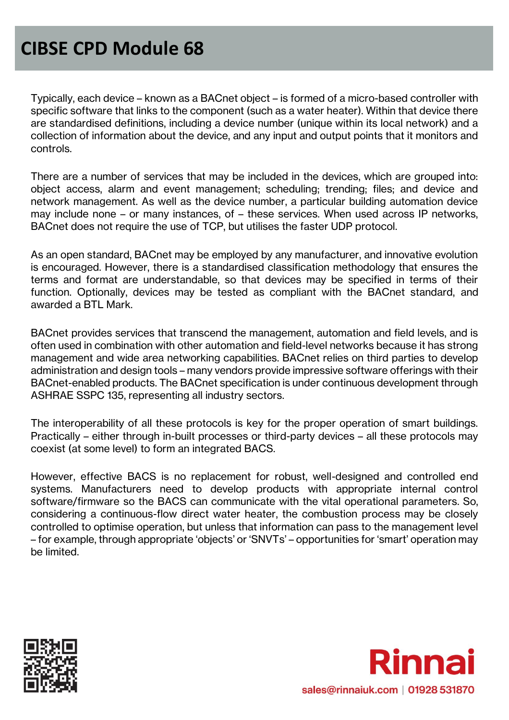Typically, each device – known as a BACnet object – is formed of a micro-based controller with specific software that links to the component (such as a water heater). Within that device there are standardised definitions, including a device number (unique within its local network) and a collection of information about the device, and any input and output points that it monitors and controls.

There are a number of services that may be included in the devices, which are grouped into: object access, alarm and event management; scheduling; trending; files; and device and network management. As well as the device number, a particular building automation device may include none – or many instances, of – these services. When used across IP networks, BACnet does not require the use of TCP, but utilises the faster UDP protocol.

As an open standard, BACnet may be employed by any manufacturer, and innovative evolution is encouraged. However, there is a standardised classification methodology that ensures the terms and format are understandable, so that devices may be specified in terms of their function. Optionally, devices may be tested as compliant with the BACnet standard, and awarded a BTL Mark.

BACnet provides services that transcend the management, automation and field levels, and is often used in combination with other automation and field-level networks because it has strong management and wide area networking capabilities. BACnet relies on third parties to develop administration and design tools – many vendors provide impressive software offerings with their BACnet-enabled products. The BACnet specification is under continuous development through ASHRAE SSPC 135, representing all industry sectors.

The interoperability of all these protocols is key for the proper operation of smart buildings. Practically – either through in-built processes or third-party devices – all these protocols may coexist (at some level) to form an integrated BACS.

However, effective BACS is no replacement for robust, well-designed and controlled end systems. Manufacturers need to develop products with appropriate internal control software/firmware so the BACS can communicate with the vital operational parameters. So, considering a continuous-flow direct water heater, the combustion process may be closely controlled to optimise operation, but unless that information can pass to the management level – for example, through appropriate 'objects' or 'SNVTs' – opportunities for 'smart' operation may be limited.



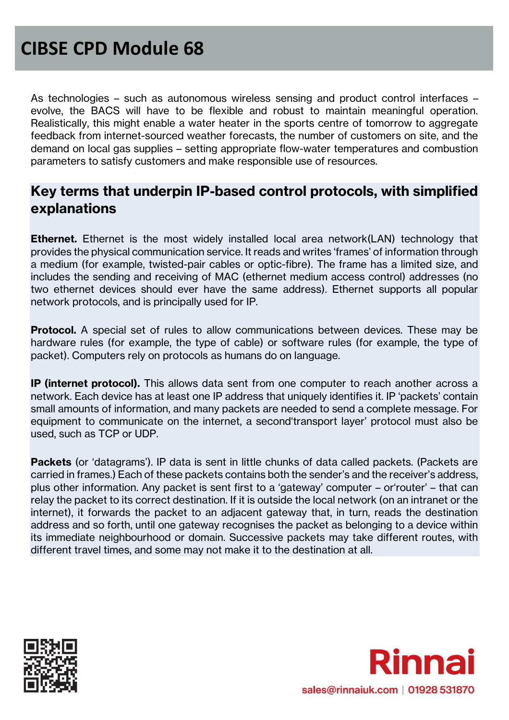As technologies – such as autonomous wireless sensing and product control interfaces – evolve, the BACS will have to be flexible and robust to maintain meaningful operation. Realistically, this might enable a water heater in the sports centre of tomorrow to aggregate feedback from internet-sourced weather forecasts, the number of customers on site, and the demand on local gas supplies – setting appropriate flow-water temperatures and combustion parameters to satisfy customers and make responsible use of resources.

#### **Key terms that underpin IP-based control protocols, with simplified explanations**

**Ethernet.** Ethernet is the most widely installed local area network(LAN) technology that provides the physical communication service. It reads and writes 'frames' of information through a medium (for example, twisted-pair cables or optic-fibre). The frame has a limited size, and includes the sending and receiving of MAC (ethernet medium access control) addresses (no two ethernet devices should ever have the same address). Ethernet supports all popular network protocols, and is principally used for IP.

**Protocol.** A special set of rules to allow communications between devices. These may be hardware rules (for example, the type of cable) or software rules (for example, the type of packet). Computers rely on protocols as humans do on language.

**IP (internet protocol).** This allows data sent from one computer to reach another across a network. Each device has at least one IP address that uniquely identifies it. IP 'packets' contain small amounts of information, and many packets are needed to send a complete message. For equipment to communicate on the internet, a second'transport layer' protocol must also be used, such as TCP or UDP.

**Packets** (or 'datagrams'). IP data is sent in little chunks of data called packets. (Packets are carried in frames.) Each of these packets contains both the sender's and the receiver's address, plus other information. Any packet is sent first to a 'gateway' computer – or'router' – that can relay the packet to its correct destination. If it is outside the local network (on an intranet or the internet), it forwards the packet to an adjacent gateway that, in turn, reads the destination address and so forth, until one gateway recognises the packet as belonging to a device within its immediate neighbourhood or domain. Successive packets may take different routes, with different travel times, and some may not make it to the destination at all.